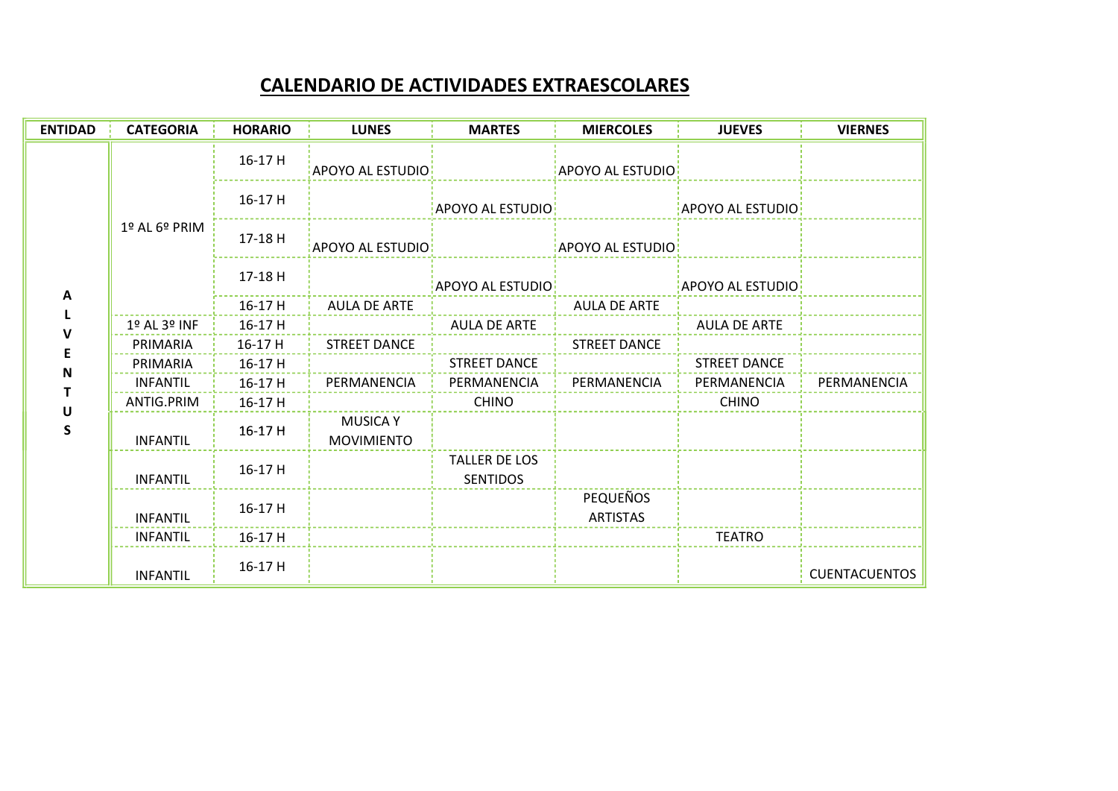## CALENDARIO DE ACTIVIDADES EXTRAESCOLARES

| <b>ENTIDAD</b> | <b>CATEGORIA</b> | <b>HORARIO</b> | <b>LUNES</b>                         | <b>MARTES</b>                           | <b>MIERCOLES</b>            | <b>JUEVES</b>    | <b>VIERNES</b>       |
|----------------|------------------|----------------|--------------------------------------|-----------------------------------------|-----------------------------|------------------|----------------------|
| Α              | 1º AL 6º PRIM    | 16-17 H        | <b>APOYO AL ESTUDIO</b>              |                                         | <b>APOYO AL ESTUDIO</b>     |                  |                      |
|                |                  | 16-17 H        |                                      | APOYO AL ESTUDIO:                       |                             | APOYO AL ESTUDIO |                      |
|                |                  | 17-18 H        | APOYO AL ESTUDIO:                    |                                         | APOYO AL ESTUDIO:           |                  |                      |
|                |                  | 17-18 H        |                                      | APOYO AL ESTUDIO:                       |                             | APOYO AL ESTUDIO |                      |
|                |                  | 16-17 H        | AULA DE ARTE                         |                                         | AULA DE ARTE                |                  |                      |
|                | 1º AL 3º INF     | 16-17 H        |                                      | AULA DE ARTE                            |                             | AULA DE ARTE     |                      |
|                | PRIMARIA         | 16-17 H        | <b>STREET DANCE</b>                  |                                         | <b>STREET DANCE</b>         |                  |                      |
| N              | PRIMARIA         | $16-17$ H      |                                      | $\frac{1}{2}$ STREET DANCE              |                             | STREET DANCE     |                      |
|                | INFANTIL         | $16-17$ H      |                                      | PERMANENCIA   PERMANENCIA   PERMANENCIA |                             | PERMANENCIA      | PERMANENCIA          |
| U              | ANTIG.PRIM       | 16-17 H        |                                      | <b>CHINO</b>                            |                             | <b>CHINO</b>     |                      |
| S              | <b>INFANTIL</b>  | 16-17 H        | <b>MUSICA Y</b><br><b>MOVIMIENTO</b> |                                         |                             |                  |                      |
|                | <b>INFANTIL</b>  | 16-17 H        |                                      | TALLER DE LOS<br><b>SENTIDOS</b>        |                             |                  |                      |
|                | <b>INFANTIL</b>  | 16-17H         |                                      |                                         | PEQUEÑOS<br><b>ARTISTAS</b> |                  |                      |
|                | INFANTIL         | 16-17 H        |                                      |                                         |                             | <b>TEATRO</b>    |                      |
|                | <b>INFANTIL</b>  | 16-17 H        |                                      |                                         |                             |                  | <b>CUENTACUENTOS</b> |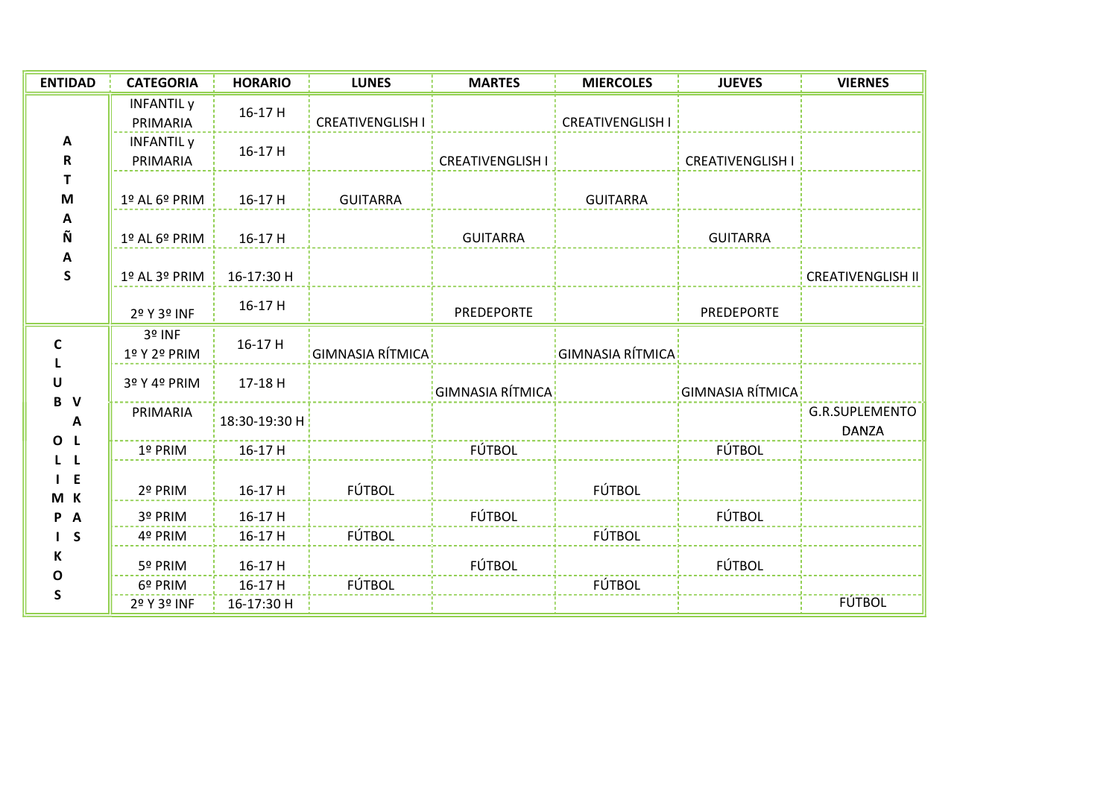| <b>ENTIDAD</b>                                    | <b>CATEGORIA</b>              | <b>HORARIO</b>        | <b>LUNES</b>            | <b>MARTES</b>           | <b>MIERCOLES</b>        | <b>JUEVES</b>           | <b>VIERNES</b>                        |
|---------------------------------------------------|-------------------------------|-----------------------|-------------------------|-------------------------|-------------------------|-------------------------|---------------------------------------|
| A<br>$\mathbf R$<br>т<br>M<br>A<br>Ñ<br>A<br>S    | <b>INFANTIL</b> y<br>PRIMARIA | 16-17 H               | <b>CREATIVENGLISH I</b> |                         | <b>CREATIVENGLISH I</b> |                         |                                       |
|                                                   | <b>INFANTIL</b> y<br>PRIMARIA | 16-17 H               |                         | <b>CREATIVENGLISH I</b> |                         | <b>CREATIVENGLISH I</b> |                                       |
|                                                   | 1º AL 6º PRIM                 | 16-17 H               | <b>GUITARRA</b>         |                         | <b>GUITARRA</b>         |                         |                                       |
|                                                   | 1º AL 6º PRIM                 | 16-17 H               |                         | <b>GUITARRA</b>         |                         | <b>GUITARRA</b>         |                                       |
|                                                   | 1º AL 3º PRIM                 | 16-17:30 H            |                         |                         |                         |                         | <b>CREATIVENGLISH II</b>              |
|                                                   | 2º Y 3º INF                   | 16-17 H               |                         | PREDEPORTE              |                         | PREDEPORTE              |                                       |
| C<br>U<br>B V<br>A<br>O <sub>L</sub>              | 3º INF<br>1º Y 2º PRIM        | 16-17 H               | GIMNASIA RÍTMICA        |                         | GIMNASIA RÍTMICA        |                         |                                       |
|                                                   | 3º Y 4º PRIM                  | 17-18 H               |                         | GIMNASIA RÍTMICA        |                         | GIMNASIA RÍTMICA        |                                       |
|                                                   | PRIMARIA                      | 18:30-19:30 H         |                         |                         |                         |                         | <b>G.R.SUPLEMENTO</b><br><b>DANZA</b> |
| L L                                               | 1º PRIM                       | 16-17 H               |                         | <b>FÚTBOL</b>           |                         | FÚTBOL                  |                                       |
| $I$ E<br>M K<br>P A<br>I S<br>К<br>O<br>${\sf S}$ | 2º PRIM                       | 16-17 H               | FÚTBOL                  |                         | FÚTBOL                  |                         |                                       |
|                                                   | 3º PRIM                       | 16-17 H               |                         | FÚTBOL                  |                         | FÚTBOL                  |                                       |
|                                                   | 4º PRIM                       | 16-17 H               | FÚTBOL                  |                         | FÚTBOL                  |                         |                                       |
|                                                   | 5º PRIM                       | 16-17 H               |                         | FÚTBOL                  |                         | FÚTBOL                  |                                       |
|                                                   | 6º PRIM<br>2º Y 3º INF        | 16-17 H<br>16-17:30 H | FÚTBOL                  |                         | FÚTBOL                  |                         | <b>FÚTBOL</b>                         |